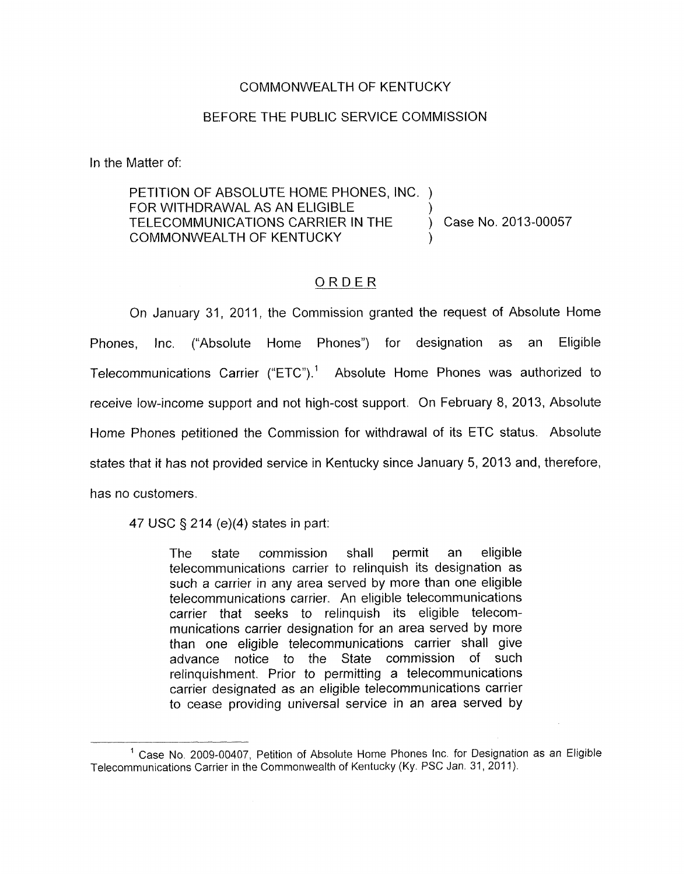## COMMONWEALTH OF KENTUCKY

## BEFORE THE PUBLIC SERVICE COMMISSION

In the Matter of:

PETITION OF ABSOLUTE HOME PHONES, NC. ) FOR WITHDRAWAL AS AN ELIGIBLE TELECOMMUNICATIONS CARRIER IN THE COMMONWEALTH OF KENTUCKY  $)$ ) Case No. 2013-00057  $)$ 

## ORDER

On January 31, 2011, the Commission granted the request of Absolute Home Phones, Inc. ("Absolute Home Phones") for designation as an Eligible Telecommunications Carrier ("ETC").' Absolute Home Phones was authorized to receive low-income support and not high-cost support. On February 8, 2013, Absolute Home Phones petitioned the Commission for withdrawal of its ETC status. Absolute states that it has not provided service in Kentucky since January 5, 2013 and, therefore, has no customers.

47 USC **9** 214 (e)(4) states in part:

The state commission shall permit an eligible telecommunications carrier to relinquish its designation as such a carrier in any area served by more than one eligible telecommunications carrier. An eligible telecommunications carrier that seeks to relinquish its eligible telecommunications carrier designation for an area served by more than one eligible telecommunications carrier shall give advance notice to the State commission of such relinquishment, Prior to permitting a telecommunications carrier designated as an eligible telecommunications carrier to cease providing universal service in an area served by

 $<sup>1</sup>$  Case No. 2009-00407, Petition of Absolute Home Phones Inc. for Designation as an Eligible</sup> Telecommunications Carrier in the Commonwealth of Kentucky (Ky. PSC Jan. 31, 201 1).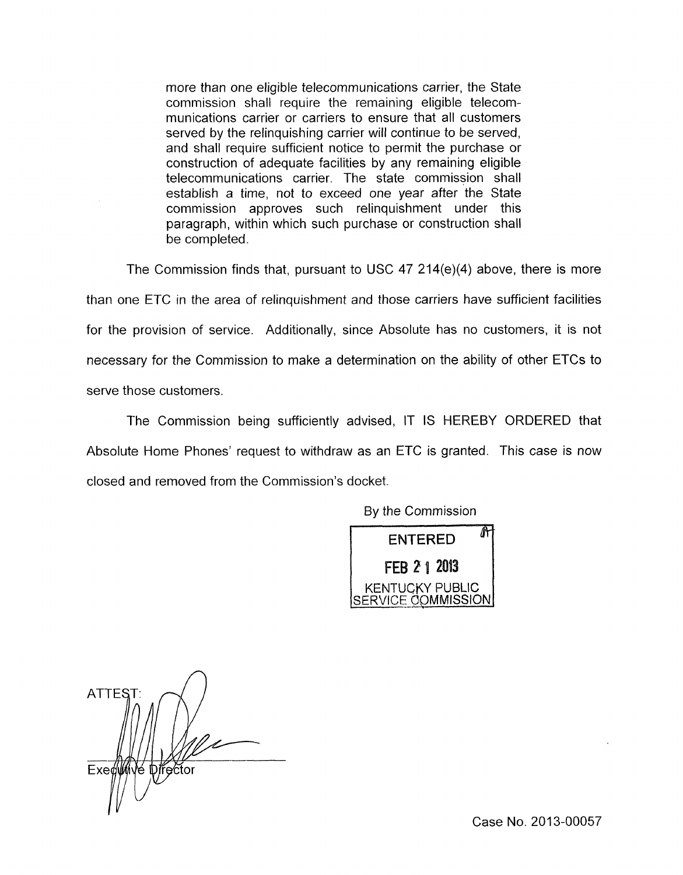more than one eligible telecommunications carrier, the State commission shall require the remaining eligible telecommunications carrier or carriers to ensure that all customers served by the relinquishing carrier will continue to be served, and shall require sufficient notice to permit the purchase or construction of adequate facilities by any remaining eligible telecommunications carrier. The state commission shall establish a time, not to exceed one year after the State commission approves such relinquishment under this paragraph, within which such purchase or construction shall be completed.

The Commission finds that, pursuant to USC 47 214(e)(4) above, there is more than one ETC in the area of relinquishment and those carriers have sufficient facilities for the provision of service. Additionally, since Absolute has no customers, it is not necessary for the Commission to make a determination on the ability of other ETCs to serve those customers.

The Commission being sufficiently advised, IT IS HEREBY ORDERED that Absolute Home Phones' request to withdraw as an ETC is granted. This case is now closed and removed from the Commission's docket.

By the Commission



**ATTEST** Exequive prector

Case No. 2013-00057